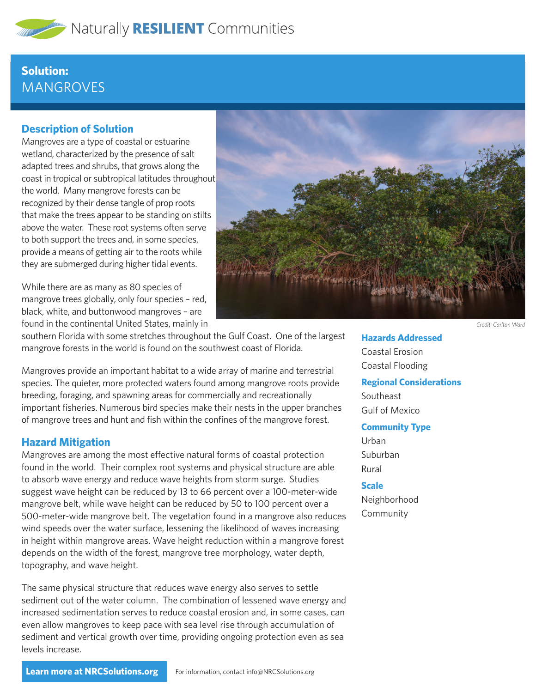

# **Solution: MANGROVES**

## **Description of Solution**

Mangroves are a type of coastal or estuarine wetland, characterized by the presence of salt adapted trees and shrubs, that grows along the coast in tropical or subtropical latitudes throughout the world. Many mangrove forests can be recognized by their dense tangle of prop roots that make the trees appear to be standing on stilts above the water. These root systems often serve to both support the trees and, in some species, provide a means of getting air to the roots while they are submerged during higher tidal events.

While there are as many as 80 species of mangrove trees globally, only four species – red, black, white, and buttonwood mangroves – are found in the continental United States, mainly in



southern Florida with some stretches throughout the Gulf Coast. One of the largest mangrove forests in the world is found on the southwest coast of Florida.

Mangroves provide an important habitat to a wide array of marine and terrestrial species. The quieter, more protected waters found among mangrove roots provide breeding, foraging, and spawning areas for commercially and recreationally important fisheries. Numerous bird species make their nests in the upper branches of mangrove trees and hunt and fish within the confines of the mangrove forest.

### **Hazard Mitigation**

Mangroves are among the most effective natural forms of coastal protection found in the world. Their complex root systems and physical structure are able to absorb wave energy and reduce wave heights from storm surge. Studies suggest wave height can be reduced by 13 to 66 percent over a 100-meter-wide mangrove belt, while wave height can be reduced by 50 to 100 percent over a 500-meter-wide mangrove belt. The vegetation found in a mangrove also reduces wind speeds over the water surface, lessening the likelihood of waves increasing in height within mangrove areas. Wave height reduction within a mangrove forest depends on the width of the forest, mangrove tree morphology, water depth, topography, and wave height.

The same physical structure that reduces wave energy also serves to settle sediment out of the water column. The combination of lessened wave energy and increased sedimentation serves to reduce coastal erosion and, in some cases, can even allow mangroves to keep pace with sea level rise through accumulation of sediment and vertical growth over time, providing ongoing protection even as sea levels increase.

*Credit: Carlton Ward*

**Hazards Addressed** Coastal Erosion Coastal Flooding

#### **Regional Considerations**

Southeast Gulf of Mexico

#### **Community Type**

Urban Suburban Rural

### **Scale**

Neighborhood Community